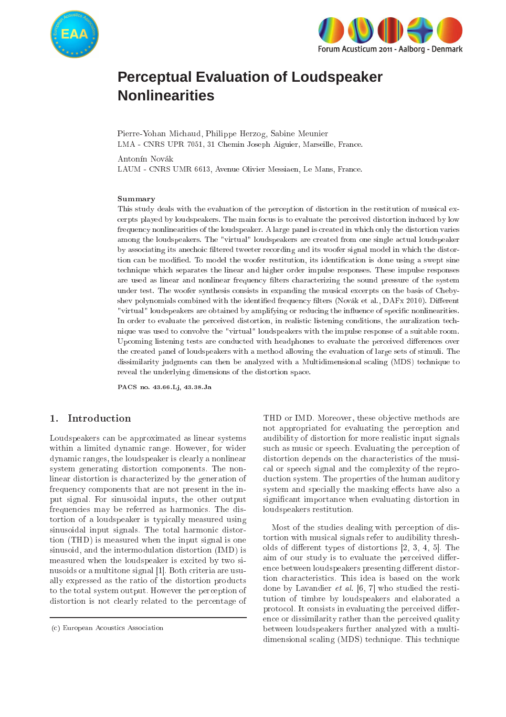



# **Perceptual Evaluation of Loudspeaker Nonlinearities**

Pierre-Yohan Mi
haud, Philippe Herzog, Sabine Meunier LMA - CNRS UPR 7051, 31 Chemin Joseph Aiguier, Marseille, Fran
e.

Antonín Novák

LAUM - CNRS UMR 6613, Avenue Olivier Messiaen, Le Mans, Fran
e.

#### Summary

This study deals with the evaluation of the perception of distortion in the restitution of musical excerpts played by loudspeakers. The main focus is to evaluate the perceived distortion induced by low frequency nonlinearities of the loudspeaker. A large panel is created in which only the distortion varies among the loudspeakers. The "virtual" loudspeakers are created from one single actual loudspeaker by associating its anechoic filtered tweeter recording and its woofer signal model in which the distortion can be modified. To model the woofer restitution, its identification is done using a swept sine te
hnique whi
h separates the linear and higher order impulse responses. These impulse responses are used as linear and nonlinear frequency filters characterizing the sound pressure of the system under test. The woofer synthesis consists in expanding the musical excerpts on the basis of Chebyshev polynomials combined with the identified frequency filters (Novák et al., DAFx 2010). Different "virtual" loudspeakers are obtained by amplifying or reducing the influence of specific nonlinearities. In order to evaluate the perceived distortion, in realistic listening conditions, the auralization technique was used to onvolve the "virtual" loudspeakers with the impulse response of a suitable room. Upcoming listening tests are conducted with headphones to evaluate the perceived differences over the reated panel of loudspeakers with a method allowing the evaluation of large sets of stimuli. The dissimilarity judgments can then be analyzed with a Multidimensional scaling (MDS) technique to reveal the underlying dimensions of the distortion spa
e.

PACS no. 43.66.Lj, 43.38.Ja

# 1. Introduction

Loudspeakers an be approximated as linear systems within a limited dynamic range. However, for wider dynami ranges, the loudspeaker is learly a nonlinear system generating distortion omponents. The nonlinear distortion is hara
terized by the generation of frequen
y omponents that are not present in the input signal. For sinusoidal inputs, the other output frequencies may be referred as harmonics. The distortion of a loudspeaker is typi
ally measured using sinusoidal input signals. The total harmoni distortion (THD) is measured when the input signal is one sinusoid, and the intermodulation distortion (IMD) is measured when the loudspeaker is excited by two sinusoids or a multitone signal [1]. Both criteria are usually expressed as the ratio of the distortion produ
ts to the total system output. However the per
eption of distortion is not clearly related to the percentage of

THD or IMD. Moreover, these objective methods are not appropriated for evaluating the per
eption and audibility of distortion for more realisti input signals su
h as musi or spee
h. Evaluating the per
eption of distortion depends on the characteristics of the musial or spee
h signal and the omplexity of the reproduction system. The properties of the human auditory system and specially the masking effects have also a significant importance when evaluating distortion in loudspeakers restitution.

Most of the studies dealing with per
eption of distortion with musi
al signals refer to audibility thresholds of different types of distortions  $[2, 3, 4, 5]$ . The aim of our study is to evaluate the perceived difference between loudspeakers presenting different distortion characteristics. This idea is based on the work done by Lavandier et al.  $[6, 7]$  who studied the restitution of timbre by loudspeakers and elaborated a protocol. It consists in evaluating the perceived difference or dissimilarity rather than the perceived quality between loudspeakers further analyzed with a multidimensional s
aling (MDS) te
hnique. This te
hnique

<sup>(
)</sup> European A
ousti
s Asso
iation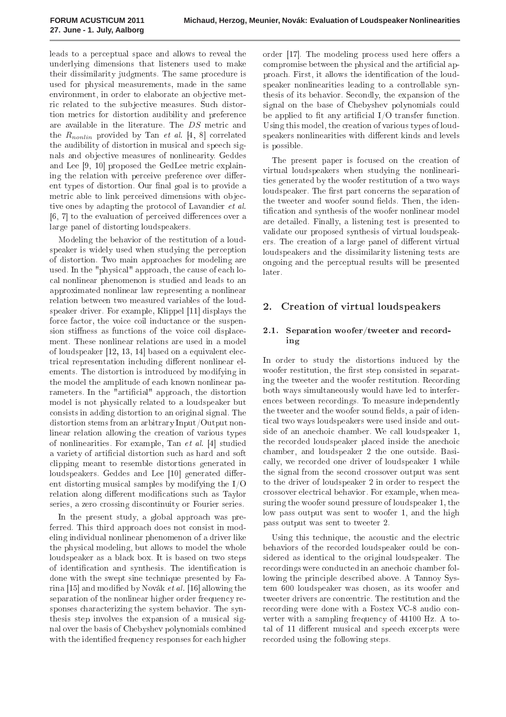leads to a per
eptual spa
e and allows to reveal the underlying dimensions that listeners used to make their dissimilarity judgments. The same pro
edure is used for physi
al measurements, made in the same environment, in order to elaborate an objective metric related to the subjective measures. Such distortion metri
s for distortion audibility and preferen
e are available in the literature. The DS metric and the  $R_{nonlin}$  provided by Tan *et al.* [4, 8] correlated the audibility of distortion in musical and speech signals and ob je
tive measures of nonlinearity. Geddes and Lee  $[9, 10]$  proposed the GedLee metric explaining the relation with perceive preference over different types of distortion. Our final goal is to provide a metric able to link perceived dimensions with objective ones by adapting the protocol of Lavandier *et al.*  $[6, 7]$  to the evaluation of perceived differences over a large panel of distorting loudspeakers.

Modeling the behavior of the restitution of a loudspeaker is widely used when studying the perception of distortion. Two main approa
hes for modeling are used. In the "physical" approach, the cause of each loal nonlinear phenomenon is studied and leads to an approximated nonlinear law representing a nonlinear relation between two measured variables of the loudspeaker driver. For example, Klippel  $[11]$  displays the force factor, the voice coil inductance or the suspension stiffness as functions of the voice coil displacement. These nonlinear relations are used in a model of loudspeaker  $[12, 13, 14]$  based on a equivalent electrical representation including different nonlinear elements. The distortion is introdu
ed by modifying in the model the amplitude of ea
h known nonlinear parameters. In the "artificial" approach, the distortion model is not physi
ally related to a loudspeaker but onsists in adding distortion to an original signal. The distortion stems from an arbitrary Input/Output nonlinear relation allowing the creation of various types of nonlinearities. For example, Tan  $et$  al. [4] studied a variety of artificial distortion such as hard and soft lipping meant to resemble distortions generated in loudspeakers. Geddes and Lee [10] generated different distorting musi
al samples by modifying the I/O relation along different modifications such as Taylor series, a zero crossing discontinuity or Fourier series.

In the present study, a global approa
h was preferred. This third approach does not consist in modeling individual nonlinear phenomenon of a driver like the physi
al modeling, but allows to model the whole loudspeaker as a black box. It is based on two steps of identification and synthesis. The identification is done with the swept sine te
hnique presented by Farina  $[15]$  and modified by Novák et al.  $[16]$  allowing the separation of the nonlinear higher order frequency responses characterizing the system behavior. The synthesis step involves the expansion of a musical signal over the basis of Chebyshev polynomials ombined with the identified frequency responses for each higher

order  $[17]$ . The modeling process used here offers a compromise between the physical and the artificial approach. First, it allows the identification of the loudspeaker nonlinearities leading to a controllable synthesis of its behavior. Se
ondly, the expansion of the signal on the base of Chebyshev polynomials ould be applied to fit any artificial  $I/O$  transfer function. Using this model, the creation of various types of loudspeakers nonlinearities with different kinds and levels is possible.

The present paper is focused on the creation of virtual loudspeakers when studying the nonlinearities generated by the woofer restitution of a two ways loudspeaker. The first part concerns the separation of the tweeter and woofer sound fields. Then, the identification and synthesis of the woofer nonlinear model are detailed. Finally, a listening test is presented to validate our proposed synthesis of virtual loudspeakers. The creation of a large panel of different virtual loudspeakers and the dissimilarity listening tests are ongoing and the per
eptual results will be presented later.

#### 2. 2. Creation of virtual loudspeakers

# 2.1. Separation woofer/tweeter and recording

In order to study the distortions indu
ed by the woofer restitution, the first step consisted in separating the tweeter and the woofer restitution. Re
ording both ways simultaneously would have led to interferences between recordings. To measure independently the tweeter and the woofer sound fields, a pair of identi
al two ways loudspeakers were used inside and outside of an anechoic chamber. We call loudspeaker 1, the recorded loudspeaker placed inside the anechoic hamber, and loudspeaker 2 the one outside. Basi ally, we re
orded one driver of loudspeaker 1 while the signal from the second crossover output was sent to the driver of loudspeaker 2 in order to respe
t the rossover ele
tri
al behavior. For example, when measuring the woofer sound pressure of loudspeaker 1, the low pass output was sent to woofer 1, and the high pass output was sent to tweeter 2.

Using this technique, the acoustic and the electric behaviors of the recorded loudspeaker could be considered as identical to the original loudspeaker. The recordings were conducted in an anechoic chamber following the principle described above. A Tannoy System 600 loudspeaker was hosen, as its woofer and tweeter drivers are concentric. The restitution and the recording were done with a Fostex VC-8 audio converter with a sampling frequen
y of 44100 Hz. A total of 11 different musical and speech excerpts were recorded using the following steps.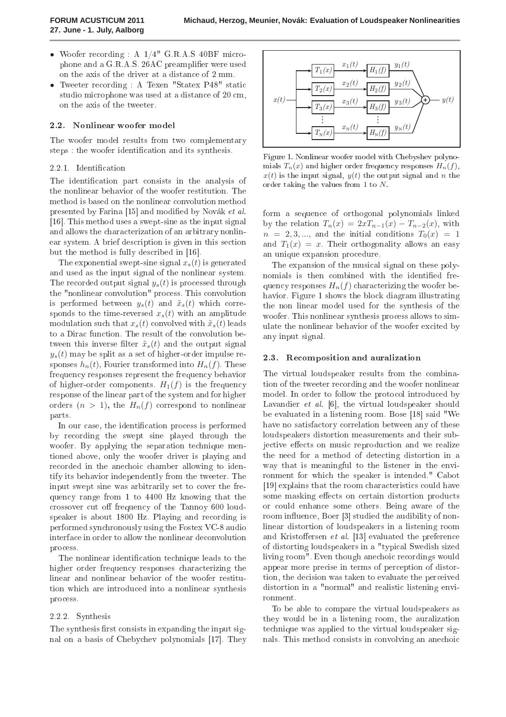- Woofer recording : A 1/4" G.R.A.S 40BF microphone and a G.R.A.S. 26AC preamplifier were used on the axis of the driver at a distan
e of 2 mm.
- Tweeter recording : A Texen "Statex P48" static studio microphone was used at a distance of 20 cm, on the axis of the tweeter.

# 2.2. Nonlinear woofer model

The woofer model results from two complementary steps : the woofer identification and its synthesis.

### 2.2.1. Identification

The identification part consists in the analysis of the nonlinear behavior of the woofer restitution. The method is based on the nonlinear onvolution method presented by Farina [15] and modified by Novák et al. [16]. This method uses a swept-sine as the input signal and allows the hara
terization of an arbitrary nonlinear system. A brief description is given in this section but the method is fully described in [16].

The exponential swept-sine signal  $x_s(t)$  is generated and used as the input signal of the nonlinear system. The recorded output signal  $y_s(t)$  is processed through the "nonlinear onvolution" pro
ess. This onvolution is performed between  $y_s(t)$  and  $\tilde{x}_s(t)$  which corresponds to the time-reversed  $x_s(t)$  with an amplitude modulation such that  $x_s(t)$  convolved with  $\tilde{x}_s(t)$  leads to a Dirac function. The result of the convolution between this inverse filter  $\tilde{x}_s(t)$  and the output signal  $y_s(t)$  may be split as a set of higher-order impulse responses  $h_n(t)$ , Fourier transformed into  $H_n(f)$ . These frequency responses represent the frequency behavior of higher-order components.  $H_1(f)$  is the frequency response of the linear part of the system and for higher orders  $(n > 1)$ , the  $H_n(f)$  correspond to nonlinear parts.

In our case, the identification process is performed by re
ording the swept sine played through the woofer. By applying the separation technique mentioned above, only the woofer driver is playing and recorded in the anechoic chamber allowing to identify its behavior independently from the tweeter. The input swept sine was arbitrarily set to cover the frequen
y range from 1 to 4400 Hz knowing that the crossover cut off frequency of the Tannoy 600 loudspeaker is about 1800 Hz. Playing and recording is performed syn
hronously using the Fostex VC-8 audio interface in order to allow the nonlinear deconvolution pro
ess.

The nonlinear identification technique leads to the higher order frequency responses characterizing the linear and nonlinear behavior of the woofer restitution whi
h are introdu
ed into a nonlinear synthesis pro
ess.

### 2.2.2. Synthesis

The synthesis first consists in expanding the input signal on a basis of Chebychev polynomials [17]. They



Figure 1. Nonlinear woofer model with Chebyshev polynomials  $T_n(x)$  and higher order frequency responses  $H_n(f)$ ,  $x(t)$  is the input signal,  $y(t)$  the output signal and n the order taking the values from 1 to  $N$ .

form a sequen
e of orthogonal polynomials linked by the relation  $T_n(x) = 2xT_{n-1}(x) - T_{n-2}(x)$ , with  $n = 2, 3, \dots$ , and the initial conditions  $T_0(x) = 1$ and  $T_1(x) = x$ . Their orthogonality allows an easy an unique expansion pro
edure.

The expansion of the musical signal on these polynomials is then combined with the identified frequency responses  $H_n(f)$  characterizing the woofer behavior. Figure 1 shows the blo
k diagram illustrating the non linear model used for the synthesis of the woofer. This nonlinear synthesis pro
ess allows to simulate the nonlinear behavior of the woofer ex
ited by any input signal.

#### 2.3. Re
omposition and auralization

The virtual loudspeaker results from the ombination of the tweeter re
ording and the woofer nonlinear model. In order to follow the protocol introduced by Lavandier  $et \ al.$  [6], the virtual loudspeaker should be evaluated in a listening room. Bose [18] said "We have no satisfactory correlation between any of these loudspeakers distortion measurements and their subjective effects on music reproduction and we realize the need for a method of dete
ting distortion in a way that is meaningful to the listener in the environment for whi
h the speaker is intended." Cabot [19] explains that the room characteristics could have some masking effects on certain distortion products or ould enhan
e some others. Being aware of the room influence, Boer [3] studied the audibility of nonlinear distortion of loudspeakers in a listening room and Kristoffersen et al.  $[13]$  evaluated the preference of distorting loudspeakers in a "typi
al Swedish sized living room". Even though anechoic recordings would appear more pre
ise in terms of per
eption of distortion, the de
ision was taken to evaluate the per
eived distortion in a "normal" and realistic listening environment.

To be able to ompare the virtual loudspeakers as they would be in a listening room, the auralization te
hnique was applied to the virtual loudspeaker signals. This method consists in convolving an anechoic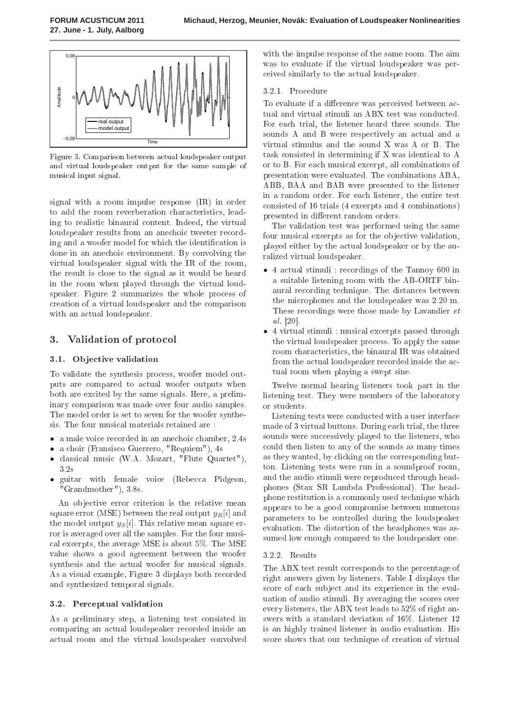

Figure 3. Comparison between actual loudspeaker output and virtual loudspeaker output for the same sample of musi
al input signal.

signal with a room impulse response (IR) in order to add the room reverberation characteristics, leading to realisti binaural ontent. Indeed, the virtual loudspeaker results from an anechoic tweeter recording and a woofer model for which the identification is done in an ane
hoi environment. By onvolving the virtual loudspeaker signal with the IR of the room, the result is lose to the signal as it would be heard in the room when played through the virtual loudspeaker. Figure 2 summarizes the whole process of reation of a virtual loudspeaker and the omparison with an actual loudspeaker.

# 3. Validation of proto
ol

# 3.1. Objective validation

To validate the synthesis process, woofer model outputs are compared to actual woofer outputs when both are excited by the same signals. Here, a preliminary omparison was made over four audio samples. The model order is set to seven for the woofer synthesis. The four musi
al materials retained are :

- a male voice recorded in an anechoic chamber, 2.4s
- a choir (Fransisco Guerrero, "Requiem"), 4s
- classical music (W.A. Mozart, "Flute Quartet"), 3.2s
- guitar with female voice (Rebecca Pidgeon, "Grandmother"), 3.8s.

An objective error criterion is the relative mean square error (MSE) between the real output  $y_R[i]$  and the model output  $y_S[i]$ . This relative mean square error is averaged over all the samples. For the four musi al ex
erpts, the average MSE is about 5%. The MSE value shows a good agreement between the woofer synthesis and the actual woofer for musical signals. As a visual example, Figure 3 displays both re
orded and synthesized temporal signals.

# 3.2. Per
eptual validation

As a preliminary step, a listening test onsisted in omparing an a
tual loudspeaker re
orded inside an a
tual room and the virtual loudspeaker onvolved with the impulse response of the same room. The aim was to evaluate if the virtual loudspeaker was per eived similarly to the a
tual loudspeaker.

# 3.2.1. Procedure

To evaluate if a difference was perceived between actual and virtual stimuli an ABX test was conducted. For ea
h trial, the listener heard three sounds. The sounds A and B were respectively an actual and a virtual stimulus and the sound X was A or B. The task onsisted in determining if X was identi
al to A or to B. For ea
h musi
al ex
erpt, all ombinations of presentation were evaluated. The ombinations ABA, ABB, BAA and BAB were presented to the listener in a random order. For ea
h listener, the entire test onsisted of 16 trials (4 ex
erpts and 4 ombinations) presented in different random orders.

The validation test was performed using the same four musical excerpts as for the objective validation, played either by the actual loudspeaker or by the auralized virtual loudspeaker.

- 4 actual stimuli : recordings of the Tannoy 600 in a suitable listening room with the AB-ORTF binaural re
ording te
hnique. The distan
es between the mi
rophones and the loudspeaker was 2.20 m. These re
ordings were those made by Lavandier et al.  $[20]$ .
- 4 virtual stimuli : musi
al ex
erpts passed through the virtual loudspeaker pro
ess. To apply the same room hara
teristi
s, the binaural IR was obtained from the actual loudspeaker recorded inside the actual room when playing a swept sine.

Twelve normal hearing listeners took part in the listening test. They were members of the laboratory or students.

Listening tests were conducted with a user interface made of 3 virtual buttons. During ea
h trial, the three sounds were successively played to the listeners, who ould then listen to any of the sounds as many times as they wanted, by li
king on the orresponding button. Listening tests were run in a soundproof room, and the audio stimuli were reprodu
ed through headphones (Stax SR Lambda Professional). The headphone restitution is a ommonly used te
hnique whi
h appears to be a good ompromise between numerous parameters to be ontrolled during the loudspeaker evaluation. The distortion of the headphones was assumed low enough compared to the loudspeaker one.

# 3.2.2. Results

The ABX test result corresponds to the percentage of right answers given by listeners. Table I displays the score of each subject and its experience in the evaluation of audio stimuli. By averaging the s
ores over every listeners, the ABX test leads to 52% of right answers with a standard deviation of 16%. Listener 12 is an highly trained listener in audio evaluation. His score shows that our technique of creation of virtual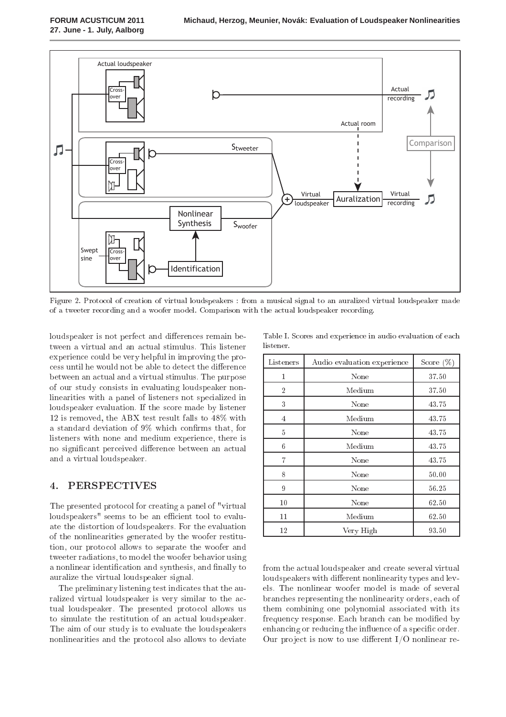

Figure 2. Protocol of creation of virtual loudspeakers : from a musical signal to an auralized virtual loudspeaker made of a tweeter re
ording and a woofer model. Comparison with the a
tual loudspeaker re
ording.

loudspeaker is not perfect and differences remain between a virtual and an actual stimulus. This listener experience could be very helpful in improving the process until he would not be able to detect the difference between an a
tual and a virtual stimulus. The purpose of our study onsists in evaluating loudspeaker nonlinearities with a panel of listeners not spe
ialized in loudspeaker evaluation. If the s
ore made by listener 12 is removed, the ABX test result falls to 48% with a standard deviation of  $9\%$  which confirms that, for listeners with none and medium experience, there is no significant perceived difference between an actual and a virtual loudspeaker.

#### **PERSPECTIVES**  $\overline{4}$ .

The presented protocol for creating a panel of "virtual" loudspeakers" seems to be an efficient tool to evaluate the distortion of loudspeakers. For the evaluation of the nonlinearities generated by the woofer restitution, our proto
ol allows to separate the woofer and tweeter radiations, to model the woofer behavior using a nonlinear identification and synthesis, and finally to auralize the virtual loudspeaker signal.

The preliminary listening test indicates that the auralized virtual loudspeaker is very similar to the actual loudspeaker. The presented protocol allows us to simulate the restitution of an actual loudspeaker. The aim of our study is to evaluate the loudspeakers nonlinearities and the proto
ol also allows to deviate

Table I. S
ores and experien
e in audio evaluation of ea
h listener.

| Listeners      | Audio evaluation experience | Score $(\%)$ |
|----------------|-----------------------------|--------------|
| 1              | None                        | 37.50        |
| $\overline{2}$ | Medium                      | 37.50        |
| 3              | None                        | 43.75        |
| $\overline{4}$ | $M$ edium                   | 43.75        |
| 5              | None                        | 43.75        |
| 6              | Medium                      | 43.75        |
| $\overline{7}$ | None                        | 43.75        |
| 8              | None                        | 50.00        |
| 9              | None                        | 56.25        |
| 10             | None                        | 62.50        |
| $11\,$         | $M$ edium                   | 62.50        |
| 12             | Very High                   | 93.50        |

from the actual loudspeaker and create several virtual loudspeakers with different nonlinearity types and levels. The nonlinear woofer model is made of several bran
hes representing the nonlinearity orders, ea
h of them ombining one polynomial asso
iated with its frequency response. Each branch can be modified by enhancing or reducing the influence of a specific order. Our project is now to use different  $I/O$  nonlinear re